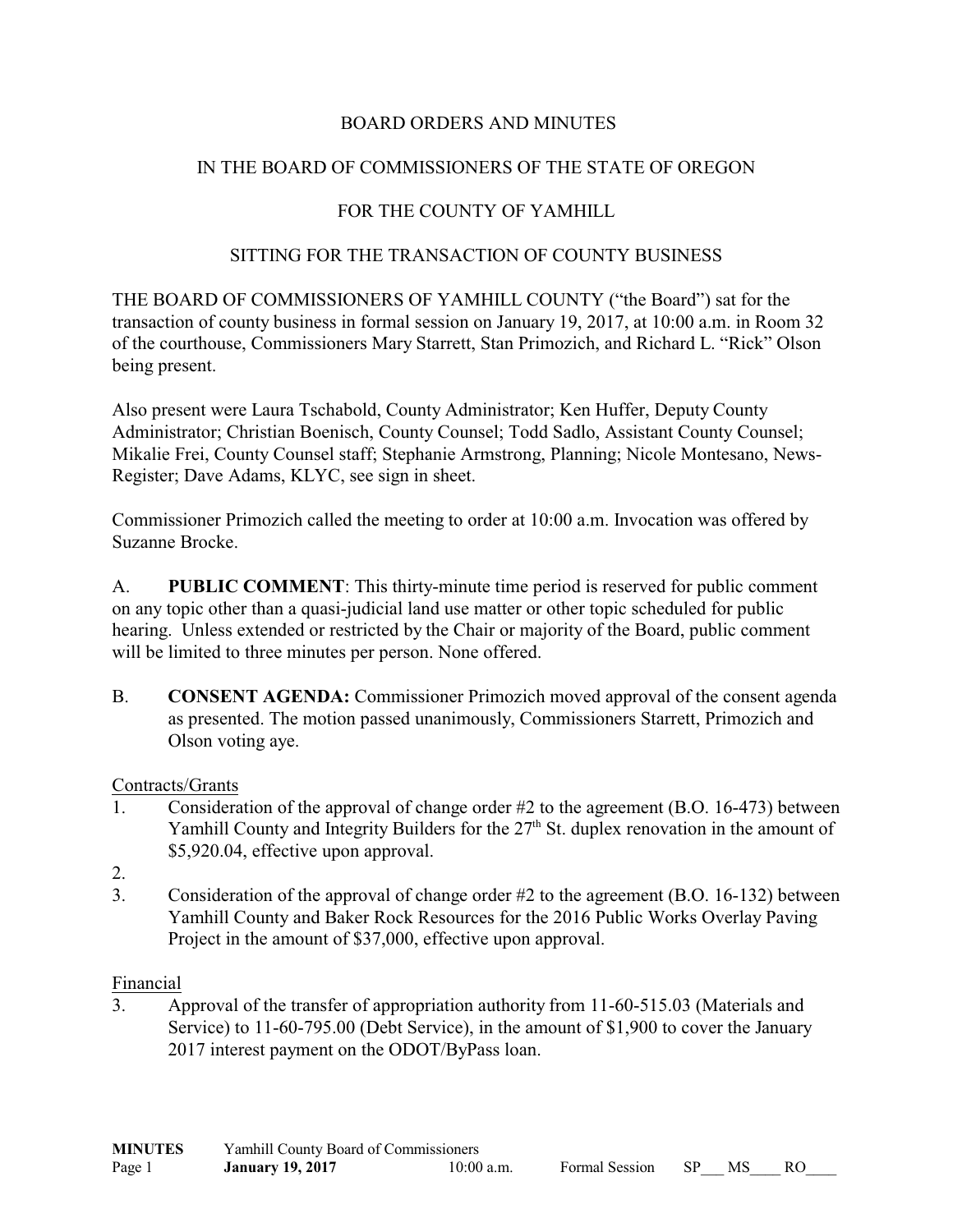# BOARD ORDERS AND MINUTES

# IN THE BOARD OF COMMISSIONERS OF THE STATE OF OREGON

### FOR THE COUNTY OF YAMHILL

#### SITTING FOR THE TRANSACTION OF COUNTY BUSINESS

THE BOARD OF COMMISSIONERS OF YAMHILL COUNTY ("the Board") sat for the transaction of county business in formal session on January 19, 2017, at 10:00 a.m. in Room 32 of the courthouse, Commissioners Mary Starrett, Stan Primozich, and Richard L. "Rick" Olson being present.

Also present were Laura Tschabold, County Administrator; Ken Huffer, Deputy County Administrator; Christian Boenisch, County Counsel; Todd Sadlo, Assistant County Counsel; Mikalie Frei, County Counsel staff; Stephanie Armstrong, Planning; Nicole Montesano, News-Register; Dave Adams, KLYC, see sign in sheet.

Commissioner Primozich called the meeting to order at 10:00 a.m. Invocation was offered by Suzanne Brocke.

A. **PUBLIC COMMENT**: This thirty-minute time period is reserved for public comment on any topic other than a quasi-judicial land use matter or other topic scheduled for public hearing. Unless extended or restricted by the Chair or majority of the Board, public comment will be limited to three minutes per person. None offered.

B. **CONSENT AGENDA:** Commissioner Primozich moved approval of the consent agenda as presented. The motion passed unanimously, Commissioners Starrett, Primozich and Olson voting aye.

#### Contracts/Grants

- 1. Consideration of the approval of change order #2 to the agreement (B.O. 16-473) between Yamhill County and Integrity Builders for the 27<sup>th</sup> St. duplex renovation in the amount of \$5,920.04, effective upon approval.
- 2.
- 3. Consideration of the approval of change order #2 to the agreement (B.O. 16-132) between Yamhill County and Baker Rock Resources for the 2016 Public Works Overlay Paving Project in the amount of \$37,000, effective upon approval.

#### Financial

3. Approval of the transfer of appropriation authority from 11-60-515.03 (Materials and Service) to 11-60-795.00 (Debt Service), in the amount of \$1,900 to cover the January 2017 interest payment on the ODOT/ByPass loan.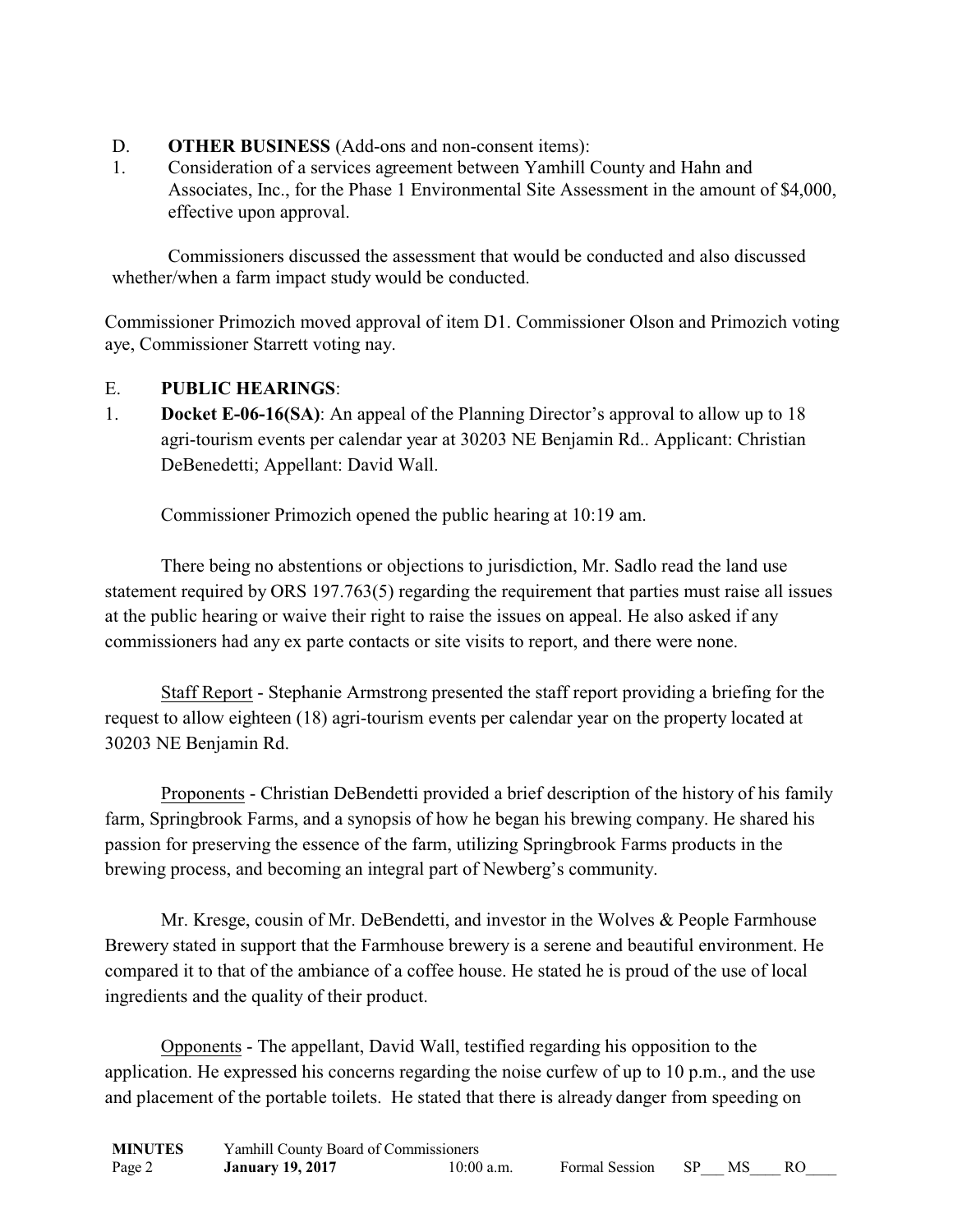- D. **OTHER BUSINESS** (Add-ons and non-consent items):
- 1. Consideration of a services agreement between Yamhill County and Hahn and Associates, Inc., for the Phase 1 Environmental Site Assessment in the amount of \$4,000, effective upon approval.

Commissioners discussed the assessment that would be conducted and also discussed whether/when a farm impact study would be conducted.

Commissioner Primozich moved approval of item D1. Commissioner Olson and Primozich voting aye, Commissioner Starrett voting nay.

# E. **PUBLIC HEARINGS**:

1. **Docket E-06-16(SA)**: An appeal of the Planning Director's approval to allow up to 18 agri-tourism events per calendar year at 30203 NE Benjamin Rd.. Applicant: Christian DeBenedetti; Appellant: David Wall.

Commissioner Primozich opened the public hearing at 10:19 am.

There being no abstentions or objections to jurisdiction, Mr. Sadlo read the land use statement required by ORS 197.763(5) regarding the requirement that parties must raise all issues at the public hearing or waive their right to raise the issues on appeal. He also asked if any commissioners had any ex parte contacts or site visits to report, and there were none.

Staff Report - Stephanie Armstrong presented the staff report providing a briefing for the request to allow eighteen (18) agri-tourism events per calendar year on the property located at 30203 NE Benjamin Rd.

Proponents - Christian DeBendetti provided a brief description of the history of his family farm, Springbrook Farms, and a synopsis of how he began his brewing company. He shared his passion for preserving the essence of the farm, utilizing Springbrook Farms products in the brewing process, and becoming an integral part of Newberg's community.

Mr. Kresge, cousin of Mr. DeBendetti, and investor in the Wolves & People Farmhouse Brewery stated in support that the Farmhouse brewery is a serene and beautiful environment. He compared it to that of the ambiance of a coffee house. He stated he is proud of the use of local ingredients and the quality of their product.

Opponents - The appellant, David Wall, testified regarding his opposition to the application. He expressed his concerns regarding the noise curfew of up to 10 p.m., and the use and placement of the portable toilets. He stated that there is already danger from speeding on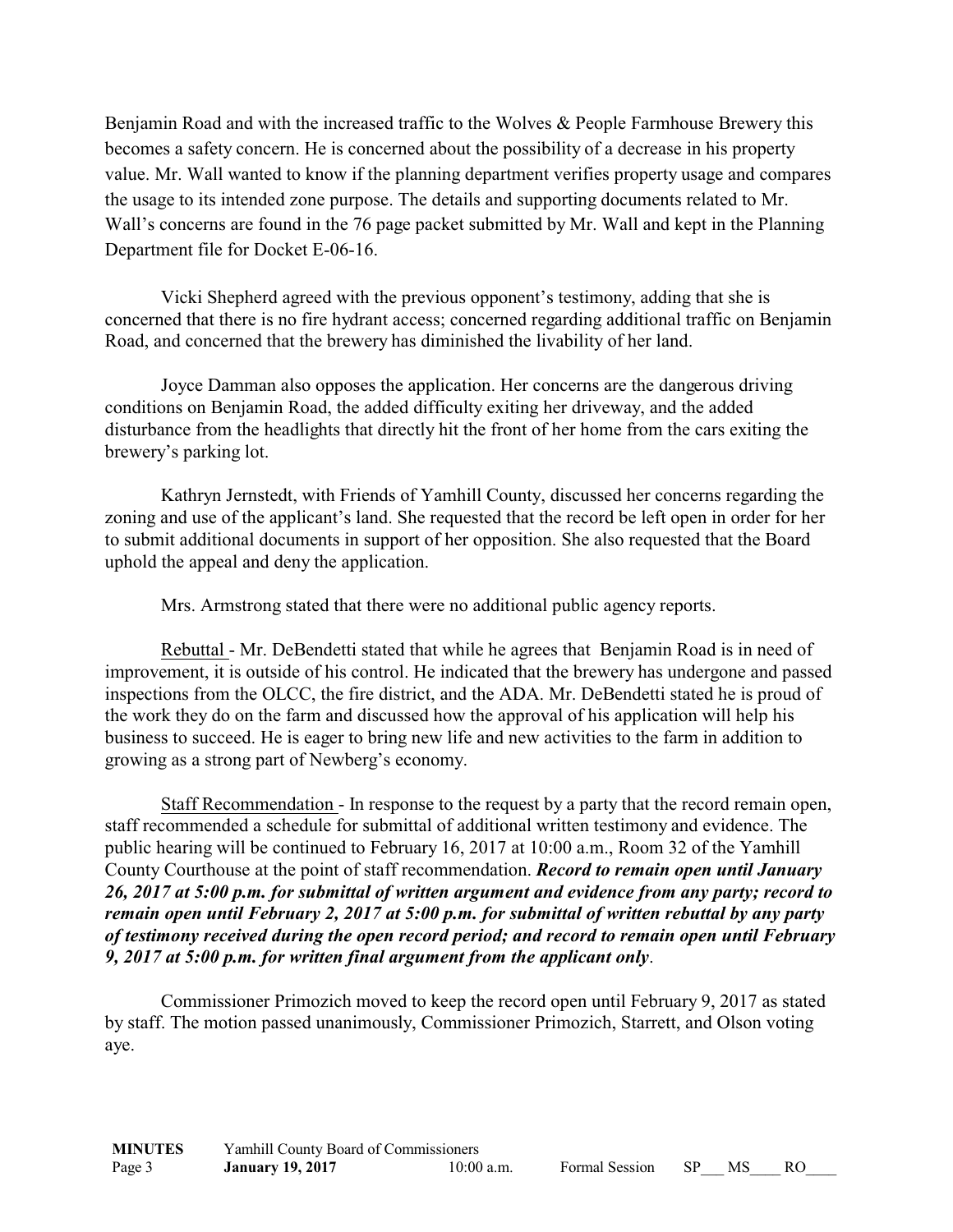Benjamin Road and with the increased traffic to the Wolves & People Farmhouse Brewery this becomes a safety concern. He is concerned about the possibility of a decrease in his property value. Mr. Wall wanted to know if the planning department verifies property usage and compares the usage to its intended zone purpose. The details and supporting documents related to Mr. Wall's concerns are found in the 76 page packet submitted by Mr. Wall and kept in the Planning Department file for Docket E-06-16.

Vicki Shepherd agreed with the previous opponent's testimony, adding that she is concerned that there is no fire hydrant access; concerned regarding additional traffic on Benjamin Road, and concerned that the brewery has diminished the livability of her land.

Joyce Damman also opposes the application. Her concerns are the dangerous driving conditions on Benjamin Road, the added difficulty exiting her driveway, and the added disturbance from the headlights that directly hit the front of her home from the cars exiting the brewery's parking lot.

Kathryn Jernstedt, with Friends of Yamhill County, discussed her concerns regarding the zoning and use of the applicant's land. She requested that the record be left open in order for her to submit additional documents in support of her opposition. She also requested that the Board uphold the appeal and deny the application.

Mrs. Armstrong stated that there were no additional public agency reports.

Rebuttal - Mr. DeBendetti stated that while he agrees that Benjamin Road is in need of improvement, it is outside of his control. He indicated that the brewery has undergone and passed inspections from the OLCC, the fire district, and the ADA. Mr. DeBendetti stated he is proud of the work they do on the farm and discussed how the approval of his application will help his business to succeed. He is eager to bring new life and new activities to the farm in addition to growing as a strong part of Newberg's economy.

Staff Recommendation - In response to the request by a party that the record remain open, staff recommended a schedule for submittal of additional written testimony and evidence. The public hearing will be continued to February 16, 2017 at 10:00 a.m., Room 32 of the Yamhill County Courthouse at the point of staff recommendation. *Record to remain open until January 26, 2017 at 5:00 p.m. for submittal of written argument and evidence from any party; record to remain open until February 2, 2017 at 5:00 p.m. for submittal of written rebuttal by any party of testimony received during the open record period; and record to remain open until February 9, 2017 at 5:00 p.m. for written final argument from the applicant only*.

Commissioner Primozich moved to keep the record open until February 9, 2017 as stated by staff. The motion passed unanimously, Commissioner Primozich, Starrett, and Olson voting aye.